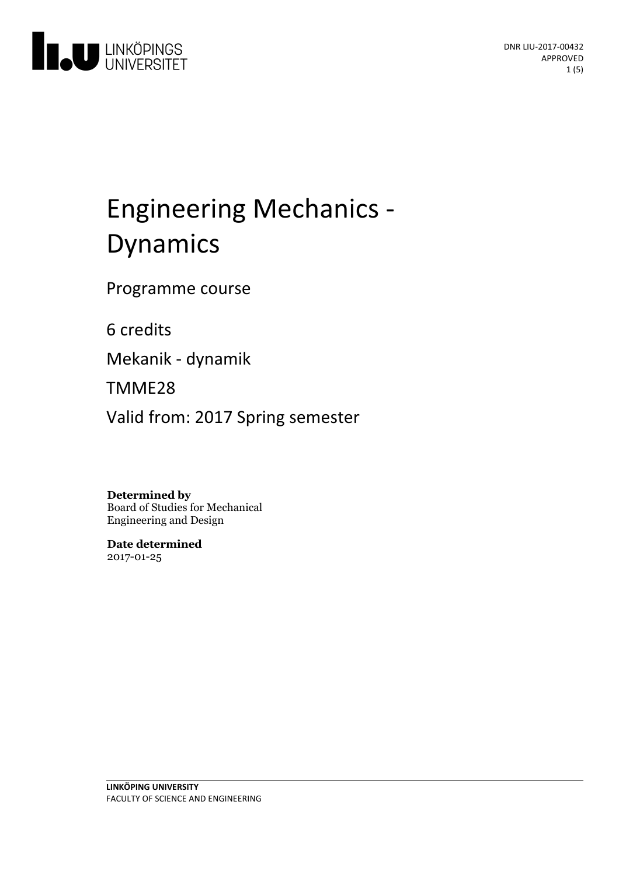

# Engineering Mechanics - Dynamics

Programme course

6 credits

Mekanik - dynamik

TMME28

Valid from: 2017 Spring semester

#### **Determined by**

Board of Studies for Mechanical Engineering and Design

**Date determined** 2017-01-25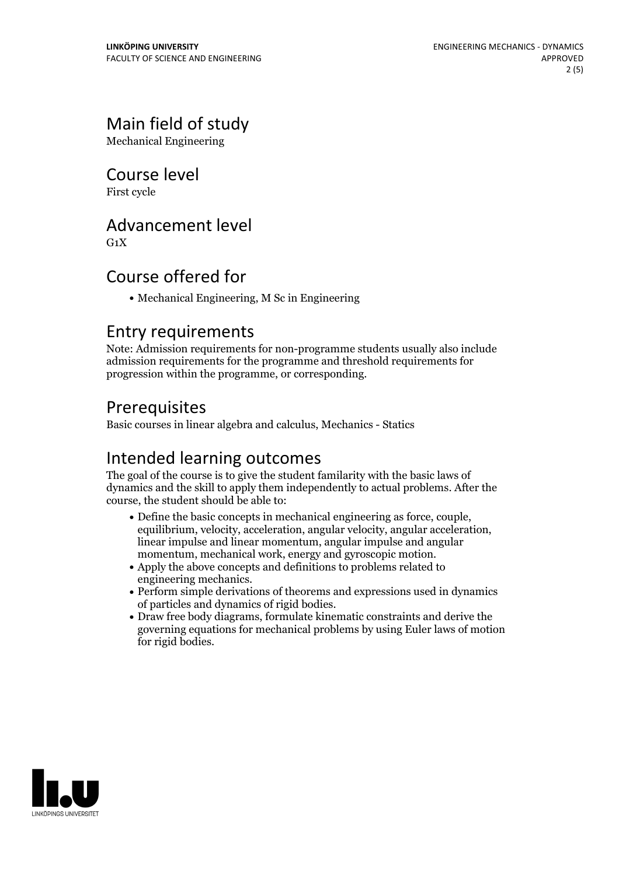## Main field of study

Mechanical Engineering

#### Course level

First cycle

#### Advancement level

 $G_1X$ 

#### Course offered for

Mechanical Engineering, M Sc in Engineering

#### Entry requirements

Note: Admission requirements for non-programme students usually also include admission requirements for the programme and threshold requirements for progression within the programme, or corresponding.

#### Prerequisites

Basic courses in linear algebra and calculus, Mechanics - Statics

#### Intended learning outcomes

The goal of the course is to give the student familarity with the basic laws of dynamics and the skill to apply them independently to actual problems. After the course, the student should be able to:

- Define the basic concepts in mechanical engineering as force, couple, equilibrium, velocity, acceleration, angular velocity, angular acceleration, linear impulse and linear momentum, angular impulse and angular momentum, mechanical work, energy and gyroscopic motion.<br>• Apply the above concepts and definitions to problems related to
- 
- engineering mechanics.<br>• Perform simple derivations of theorems and expressions used in dynamics of particles and dynamics of rigid bodies. Draw free body diagrams, formulate kinematic constraints and derive the
- governing equations for mechanical problems by using Euler laws of motion for rigid bodies.

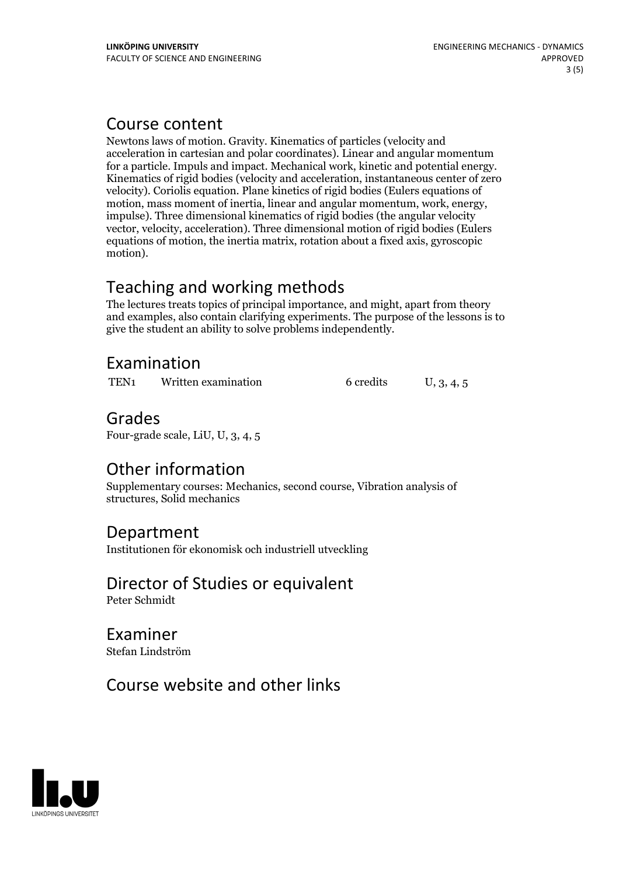#### Course content

Newtons laws of motion. Gravity. Kinematics of particles (velocity and acceleration in cartesian and polar coordinates). Linear and angular momentum for <sup>a</sup> particle. Impuls and impact. Mechanical work, kinetic and potential energy. Kinematics of rigid bodies (velocity and acceleration, instantaneous center of zero velocity). Coriolis equation. Plane kinetics of rigid bodies (Eulers equations of motion, mass moment of inertia, linear and angular momentum, work, energy, impulse). Three dimensional kinematics of rigid bodies (the angular velocity vector, velocity, acceleration). Three dimensional motion of rigid bodies (Eulers equations of motion, the inertia matrix, rotation about a fixed axis, gyroscopic motion).

## Teaching and working methods

The lectures treats topics of principal importance, and might, apart from theory and examples, also contain clarifying experiments. The purpose of the lessons is to give the student an ability to solve problems independently.

#### Examination

TEN<sub>1</sub> Written examination 6 credits U, 3, 4, 5

#### Grades

Four-grade scale, LiU, U, 3, 4, 5

#### Other information

Supplementary courses: Mechanics, second course, Vibration analysis of structures, Solid mechanics

#### Department

Institutionen för ekonomisk och industriell utveckling

#### Director of Studies or equivalent

Peter Schmidt

#### Examiner Stefan Lindström

#### Course website and other links

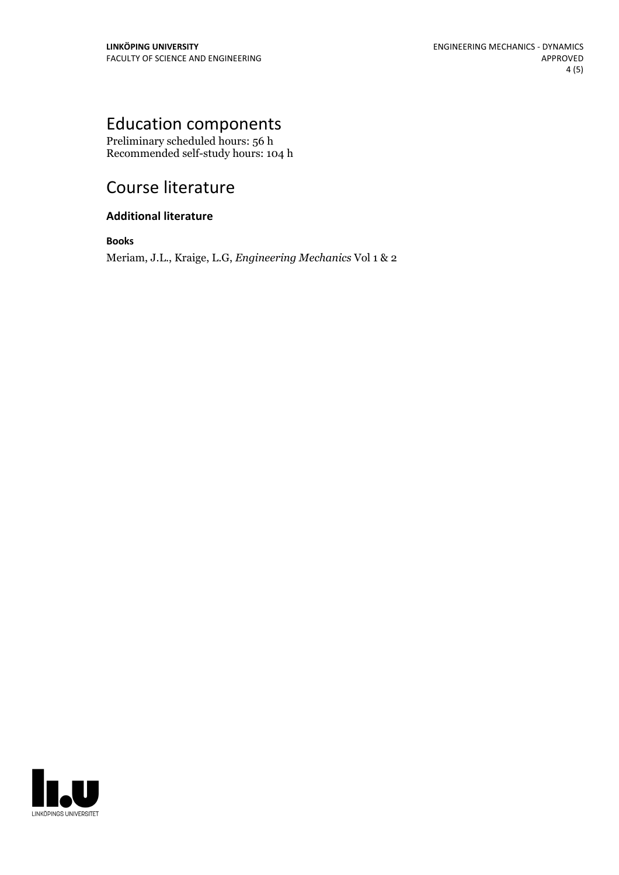## Education components

Preliminary scheduled hours: 56 h Recommended self-study hours: 104 h

## Course literature

#### **Additional literature**

**Books**

Meriam, J.L., Kraige, L.G, *Engineering Mechanics* Vol 1 & 2